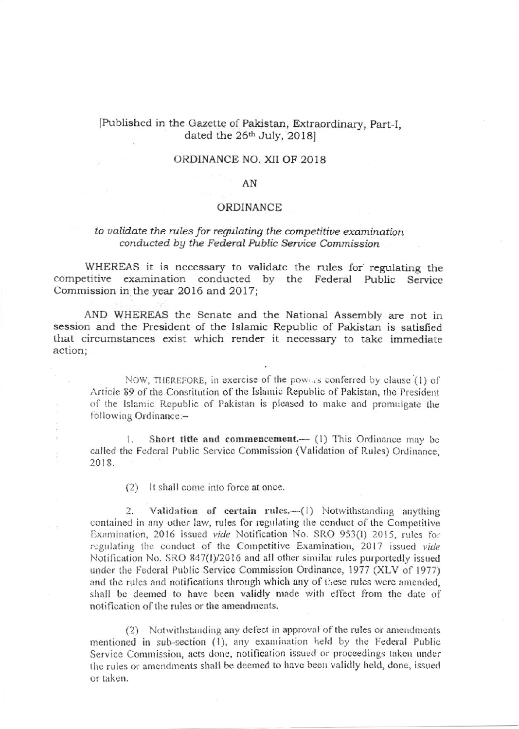## [Published in the Gazette of Pakistan, Extraordinary, Part-I, dated the 26<sup>th</sup> July, 2018]

## ORDINANCE NO. XII OF 2018

### AN

#### ORDINANCE

## to validate the rules for regulating the competitive examination conducted by the Federal Public Service Commission

WHEREAS it is necessary to validate the rules for regulating the competitive examination conducted by the Federal Public Service Commission in the year 2016 and 2017;

AND WHEREAS the Senate and the National Assembly are not in session and the President of the Islamic Republic of Pakistan is satisfied that circumstances exist which render it necessary to take immediate action;

NOW, THEREFORE, in exercise of the powers conferred by clause (1) of Article 89 of the Constitution of the Islamic Republic of Pakistan, the President of the Islamic Republic of Pakistan is pleased to make and promulgate the following Ordinance:-

Short title and commencement.- (1) This Ordinance may be  $\mathbf{1}$ called the Federal Public Service Commission (Validation of Rules) Ordinance, 2018.

(2) It shall come into force at once.

Validation of certain rules.-(1) Notwithstanding anything  $\overline{2}$ . contained in any other law, rules for regulating the conduct of the Competitive Examination, 2016 issued vide Notification No. SRO 953(I) 2015, rules for regulating the conduct of the Competitive Examination, 2017 issued vide Notification No. SRO 847(I)/2016 and all other similar rules purportedly issued under the Federal Public Service Commission Ordinance, 1977 (XLV of 1977) and the rules and notifications through which any of these rules were amended, shall be deemed to have been validly made with effect from the date of notification of the rules or the amendments.

(2) Notwithstanding any defect in approval of the rules or amendments mentioned in sub-section (1), any examination held by the Federal Public Service Commission, acts done, notification issued or proceedings taken under the rules or amendments shall be deemed to have been validly held, done, issued or taken.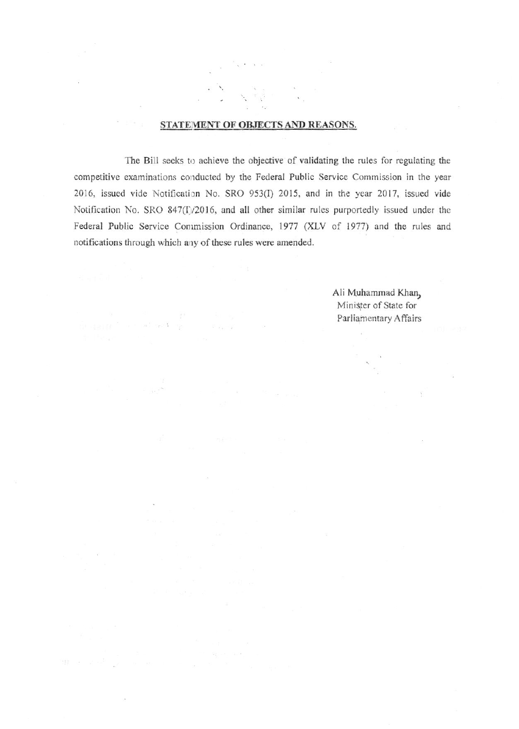## STATEMENT OF OBJECTS AND REASONS.

The Bill seeks to achieve the objective of validating the rules for regulating the competitive examinations conducted by the Federal Public Service Commission in the year 2016, issued vide Notification No. SRO 953(I) 2015, and in the year 2017, issued vide Notification No. SRO 847(I)/2016, and all other similar rules purportedly issued under the Federal Public Service Commission Ordinance, 1977 (XLV of 1977) and the rules and notifications through which any of these rules were amended.

 $\label{eq:1} \mathbf{w}^{(1)}_{\mathbf{z}} \approx_{\mathbf{z}} \mathbf{e}^{(1)} \mathbf{1} \cdots \mathbf{e}^{(1)}_{\mathbf{z}}$ 

Ali Muhammad Khan, Minister of State for Parliamentary Affairs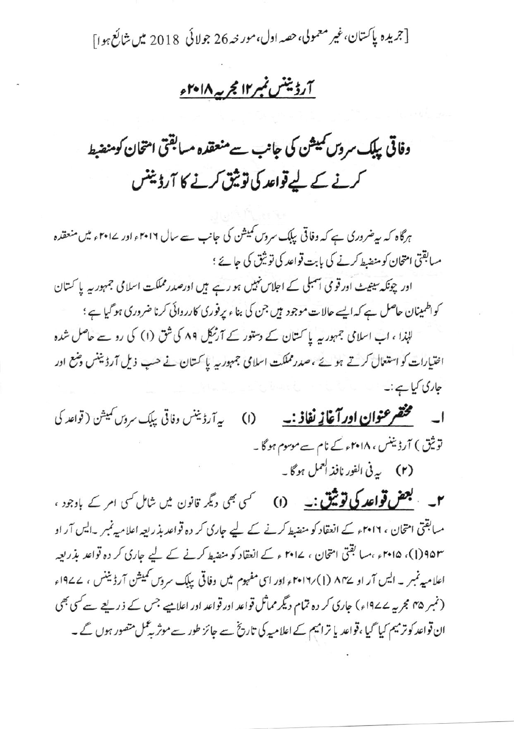[جريده پاکستان،غير معمولي،حصه اول،مور حه 26 جولائي 2018 ميں شائع ہوا]

# آرڈینٹس نمبر۱۲ مجربہ ۲۰۱۸ء

وفاقی بیلک سروں کمیشن کی جانب سے منعقدہ مسابقتی امتحان کومنضبط کرنے کے لیے قواعد کی توثیق کرنے کا آرڈیننس

ہرگاہ کہ سپرضروری ہے کہ وفاقی بیابک سروس کمیشن کی جانب سے سال ۲۰۱۶ء اور ۱۴۰۱ء میں منعقدہ مسابقتی امتحان کو منصط کرنے کی بابت قواعد کی توثیق کی جائے ؛

اور چونکہ سینیٹ اور قومی اسمبلی کے اجلاس نہیں ہو رہے ہیں اورصدر مملکت اسلامی جمہور ہہ یا کتان کواظمینان حاصل ہے کہ ایسے حالات موجود ہیں جن کی بناء پرفوری کارروائی کرنا ضروری ہو گیا ہے ؛

لہٰذا ، اب اسلامی جمہور یہ یا کستان کے دستور کے آرٹیکل ۸۹ کی شق (۱) کی رو سے حاصل شدہ اختیارات کو استعال کرتے ہوئے ،صدر مملکت اسلامی جمہور یہ یا کستان نے حب ذیل آرڈیننس وضع اور جاری کیا ہے:۔

ا۔ مستحقم عنوان اور آغازِ <u>نفاذ :۔</u> (I) په آرڈیننس دفاتی بیاب سروں کمیشن ( قواعد کی توثیق ) آرڈیننس ، ۲۰۱۸ء کے نام سے موسوم ہو گا۔ (۲) به في الفور نافذ العمل ہوگا ۔

۲۔ بعض قواعد کی توثیق:۔ (۱) سمی بھی دیگر قانون میں شامل کسی امر کے بادجود ، میابقتی امتحان ، ۲۰۱۶ء کے انعقاد کو منصط کرنے کے لیے جاری کر دہ قواعد بذریعہ اعلامیہ نمبر ۔ایس آر او ۹۵۳(۱)، ۲۰۱۵ء ،میا بقتی امتحان ، ۲۰۱۷ ء کے انعقاد کو منضط کرنے کے لیے جاری کر دہ قواعد بذریعہ اعلامیہ نمبر ۔ ایس آر او ۸۴۷ (۱) ۲۰۱۷ء اور اسی مفہوم میں وفاقی پلک سروس نمیشن آرڈیننس ، ۱۹۷۷ء (نمبر ۴۵ مجر یہ ۱۹۷۷ء) جاری کر دہ تمام دیگر مماثل قواعد اور قواعد اور اعلامیے جس کے ذریعے سے کسی بھی ان قواعد کو ترمیم کیا گیا ،قواعد یا ترامیم کے اعلامیہ کی تاریخ سے جائز طور سے موثر پہ کمل متصور ہوں گے ۔